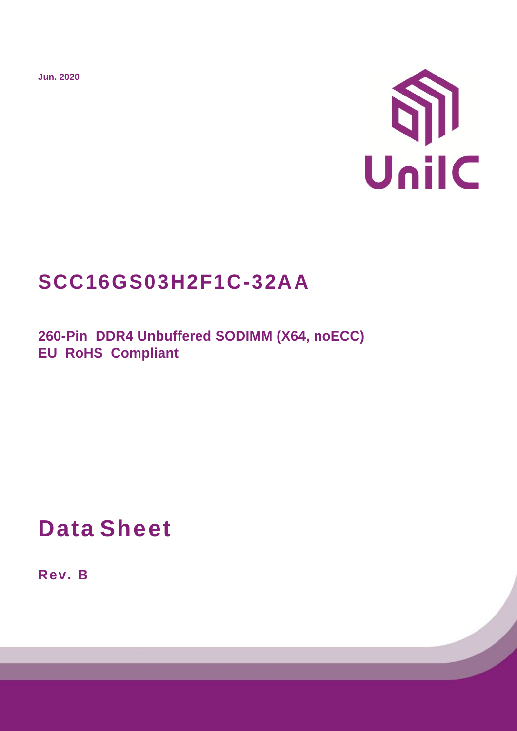**Jun. 2020**



# **SCC16GS03H2F1C-32AA**

**260-Pin DDR4 Unbuffered SODIMM (X64, noECC) EU RoHS Compliant** 

**Data Sheet**

**Rev. B**

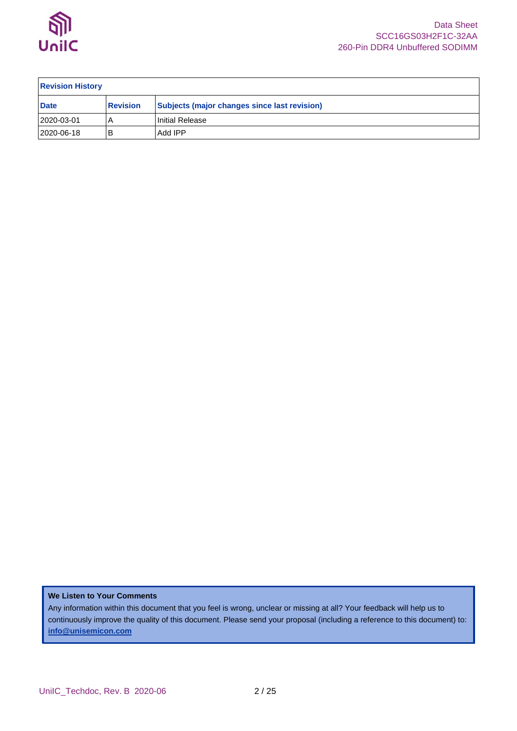

| <b>Revision History</b> |                 |                                              |  |  |  |  |  |
|-------------------------|-----------------|----------------------------------------------|--|--|--|--|--|
| <b>Date</b>             | <b>Revision</b> | Subjects (major changes since last revision) |  |  |  |  |  |
| 2020-03-01              |                 | Initial Release                              |  |  |  |  |  |
| 2020-06-18              | В               | Add IPP                                      |  |  |  |  |  |

**We Listen to Your Comments**

Any information within this document that you feel is wrong, unclear or missing at all? Your feedback will help us to continuously improve the quality of this document. Please send your proposal (including a reference to this document) to: **[info@unisemicon.com](mailto:info@scsemicon.com)**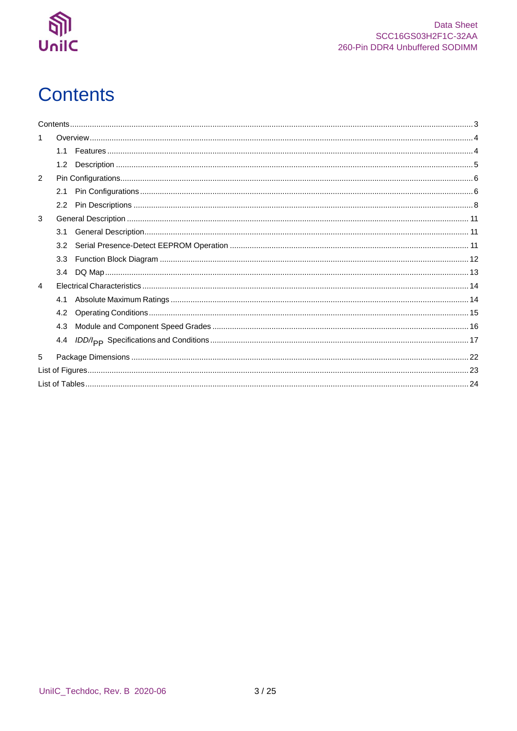

# <span id="page-2-0"></span>**Contents**

|                | 1.1 |  |
|----------------|-----|--|
|                | 1.2 |  |
| 2              |     |  |
|                | 2.1 |  |
|                |     |  |
| 3              |     |  |
|                | 3.1 |  |
|                | 3.2 |  |
|                | 3.3 |  |
|                | 3.4 |  |
| $\overline{4}$ |     |  |
|                | 4.1 |  |
|                | 4.2 |  |
|                | 4.3 |  |
|                | 4.4 |  |
| 5              |     |  |
|                |     |  |
|                |     |  |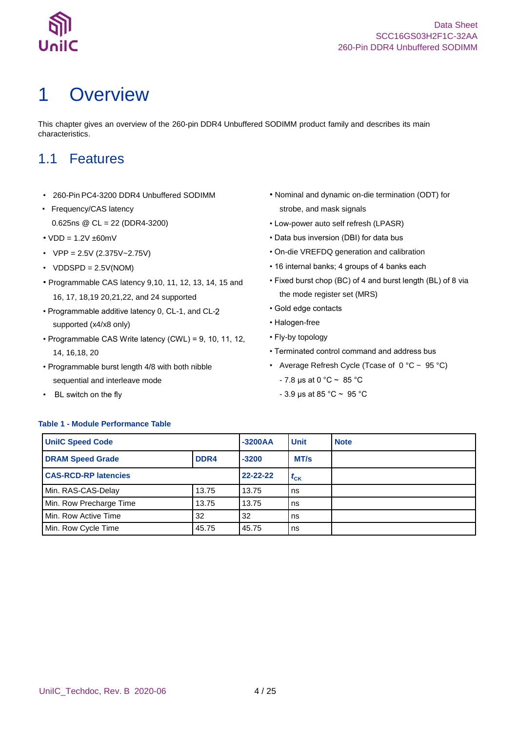

# <span id="page-3-0"></span>1 Overview

This chapter gives an overview of the 260-pin DDR4 Unbuffered SODIMM product family and describes its main characteristics.

### <span id="page-3-1"></span>1.1 Features

- 260-Pin PC4-3200 DDR4 Unbuffered SODIMM
- Frequency/CAS latency 0.625ns @ CL = 22 (DDR4-3200)
- $VDD = 1.2V \pm 60mV$
- $VPP = 2.5V (2.375V 2.75V)$
- $VDDSPD = 2.5V(NOM)$
- Programmable CAS latency 9,10, 11, 12, 13, 14, 15 and 16, 17, 18,19 20,21,22, and 24 supported
- Programmable additive latency 0, CL-1, and CLsupported (x4/x8 only)
- Programmable CAS Write latency (CWL) = 9, 10, 11, 12, 14, 16,18, 20
- Programmable burst length 4/8 with both nibble sequential and interleave mode
- BL switch on the fly
- Nominal and dynamic on-die termination (ODT) for strobe, and mask signals
- Low-power auto self refresh (LPASR)
- Data bus inversion (DBI) for data bus
- On-die VREFDQ generation and calibration
- 16 internal banks; 4 groups of 4 banks each
- Fixed burst chop (BC) of 4 and burst length (BL) of 8 via the mode register set (MRS)
- Gold edge contacts
- Halogen-free
- Fly-by topology
- Terminated control command and address bus
- Average Refresh Cycle (Tcase of  $0 °C \sim 95 °C$ )
	- $7.8 \,\mu s$  at 0 °C ~ 85 °C
	- 3.9 μs at 85 °C ~ 95 °C

#### <span id="page-3-2"></span>**Table 1 - Module Performance Table**

| <b>UniIC Speed Code</b>     |                | $-3200AA$ | <b>Unit</b> | <b>Note</b> |
|-----------------------------|----------------|-----------|-------------|-------------|
| <b>DRAM Speed Grade</b>     | $-3200$        | MT/s      |             |             |
| <b>CAS-RCD-RP latencies</b> | $22 - 22 - 22$ | $t_{CK}$  |             |             |
| Min. RAS-CAS-Delay          | 13.75          | 13.75     | ns          |             |
| Min. Row Precharge Time     | 13.75          | 13.75     | ns          |             |
| Min. Row Active Time        | 32             | 32        | ns          |             |
| Min. Row Cycle Time         | 45.75          | 45.75     | ns          |             |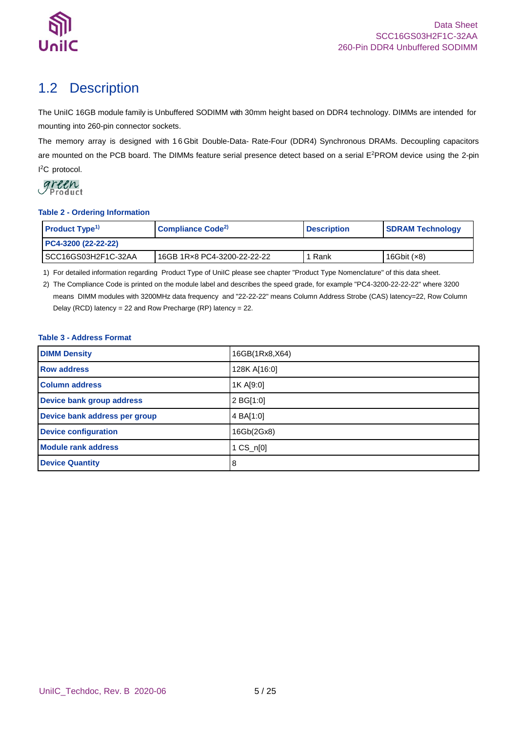

## <span id="page-4-0"></span>1.2 Description

The UniIC 16GB module family is Unbuffered SODIMM with 30mm height based on DDR4 technology. DIMMs are intended for mounting into 260-pin connector sockets.

The memory array is designed with 1 6 Gbit Double-Data- Rate-Four (DDR4) Synchronous DRAMs. Decoupling capacitors are mounted on the PCB board. The DIMMs feature serial presence detect based on a serial E<sup>2</sup>PROM device using the 2-pin I <sup>2</sup>C protocol.



### <span id="page-4-1"></span>**Table 2 - Ordering Information**

| <b>Product Type<sup>1)</sup></b> | Compliance Code <sup>2)</sup> | <b>Description</b> | <b>SDRAM Technology</b> |  |
|----------------------------------|-------------------------------|--------------------|-------------------------|--|
| PC4-3200 (22-22-22)              |                               |                    |                         |  |
| ISCC16GS03H2F1C-32AA             | 16GB 1Rx8 PC4-3200-22-22-22   | 1 Rank             | 16Gbit $(x8)$           |  |

1) For detailed information regarding Product Type of UniIC please see chapter "Product Type Nomenclature" of this data sheet.

2) The Compliance Code is printed on the module label and describes the speed grade, for example "PC4-3200-22-22-22" where 3200 means DIMM modules with 3200MHz data frequency and "22-22-22" means Column Address Strobe (CAS) latency=22, Row Column Delay (RCD) latency = 22 and Row Precharge (RP) latency = 22.

### <span id="page-4-2"></span>**Table 3 - Address Format**

| <b>DIMM Density</b>           | 16GB(1Rx8,X64) |
|-------------------------------|----------------|
| <b>Row address</b>            | 128K A[16:0]   |
| <b>Column address</b>         | 1K A[9:0]      |
| Device bank group address     | 2 BG[1:0]      |
| Device bank address per group | 4 BA[1:0]      |
| <b>Device configuration</b>   | 16Gb(2Gx8)     |
| <b>Module rank address</b>    | 1 CS_n[0]      |
| <b>Device Quantity</b>        | 8              |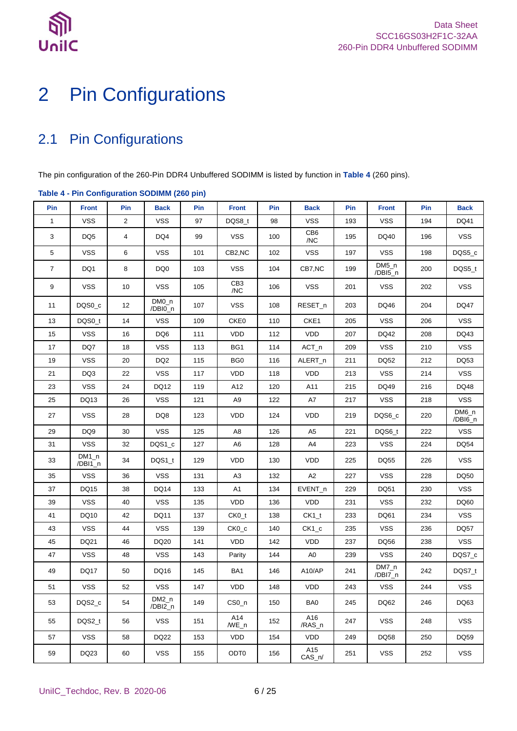

# <span id="page-5-0"></span>Pin Configurations

## <span id="page-5-1"></span>2.1 Pin Configurations

The pin configuration of the 260-Pin DDR4 Unbuffered SODIMM is listed by function in **[Table 4](#page-5-2)** (260 pins).

| rable + - 1 in conniguration copilities (200 pm) |                    |                |                    |     |                        |     |                 |     |                    |     |                    |
|--------------------------------------------------|--------------------|----------------|--------------------|-----|------------------------|-----|-----------------|-----|--------------------|-----|--------------------|
| Pin                                              | <b>Front</b>       | Pin            | <b>Back</b>        | Pin | <b>Front</b>           | Pin | <b>Back</b>     | Pin | <b>Front</b>       | Pin | <b>Back</b>        |
| $\mathbf{1}$                                     | <b>VSS</b>         | $\overline{c}$ | <b>VSS</b>         | 97  | DQS8_t                 | 98  | <b>VSS</b>      | 193 | <b>VSS</b>         | 194 | DQ41               |
| 3                                                | DQ5                | 4              | DQ4                | 99  | VSS.                   | 100 | CB6<br>/NC      | 195 | DQ40               | 196 | <b>VSS</b>         |
| 5                                                | <b>VSS</b>         | 6              | <b>VSS</b>         | 101 | CB2,NC                 | 102 | <b>VSS</b>      | 197 | <b>VSS</b>         | 198 | DQS5_c             |
| $\overline{7}$                                   | DQ1                | 8              | DQ0                | 103 | <b>VSS</b>             | 104 | CB7,NC          | 199 | $DM5_n$<br>/DBI5_n | 200 | DQS5_t             |
| 9                                                | <b>VSS</b>         | 10             | <b>VSS</b>         | 105 | CB <sub>3</sub><br>/NC | 106 | <b>VSS</b>      | 201 | <b>VSS</b>         | 202 | <b>VSS</b>         |
| 11                                               | DQS0 c             | 12             | DM0_n<br>/DBI0_n   | 107 | <b>VSS</b>             | 108 | RESET_n         | 203 | DQ46               | 204 | <b>DQ47</b>        |
| 13                                               | DQS0_t             | 14             | <b>VSS</b>         | 109 | CKE0                   | 110 | CKE1            | 205 | <b>VSS</b>         | 206 | <b>VSS</b>         |
| 15                                               | <b>VSS</b>         | 16             | DQ6                | 111 | <b>VDD</b>             | 112 | <b>VDD</b>      | 207 | DQ42               | 208 | DQ43               |
| 17                                               | DQ7                | 18             | <b>VSS</b>         | 113 | BG1                    | 114 | $ACT_n$         | 209 | <b>VSS</b>         | 210 | <b>VSS</b>         |
| 19                                               | <b>VSS</b>         | 20             | DQ <sub>2</sub>    | 115 | BG <sub>0</sub>        | 116 | ALERT_n         | 211 | DQ52               | 212 | DQ53               |
| 21                                               | DQ3                | 22             | <b>VSS</b>         | 117 | <b>VDD</b>             | 118 | <b>VDD</b>      | 213 | <b>VSS</b>         | 214 | <b>VSS</b>         |
| 23                                               | <b>VSS</b>         | 24             | DQ12               | 119 | A12                    | 120 | A11             | 215 | DQ49               | 216 | DQ48               |
| 25                                               | DQ13               | 26             | <b>VSS</b>         | 121 | A9                     | 122 | A7              | 217 | <b>VSS</b>         | 218 | <b>VSS</b>         |
| 27                                               | <b>VSS</b>         | 28             | DQ8                | 123 | VDD                    | 124 | <b>VDD</b>      | 219 | DQS6_c             | 220 | $DM6_n$<br>/DBI6_n |
| 29                                               | DQ <sub>9</sub>    | 30             | <b>VSS</b>         | 125 | A <sub>8</sub>         | 126 | A <sub>5</sub>  | 221 | DQS6_t             | 222 | <b>VSS</b>         |
| 31                                               | <b>VSS</b>         | 32             | DQS1_c             | 127 | A6                     | 128 | A4              | 223 | <b>VSS</b>         | 224 | <b>DQ54</b>        |
| 33                                               | $DM1_n$<br>/DBI1_n | 34             | DQS1_t             | 129 | <b>VDD</b>             | 130 | <b>VDD</b>      | 225 | DQ55               | 226 | <b>VSS</b>         |
| 35                                               | <b>VSS</b>         | 36             | <b>VSS</b>         | 131 | A <sub>3</sub>         | 132 | A2              | 227 | <b>VSS</b>         | 228 | DQ50               |
| 37                                               | DQ15               | 38             | <b>DQ14</b>        | 133 | A <sub>1</sub>         | 134 | $EVENT_n$       | 229 | DQ51               | 230 | <b>VSS</b>         |
| 39                                               | <b>VSS</b>         | 40             | <b>VSS</b>         | 135 | <b>VDD</b>             | 136 | <b>VDD</b>      | 231 | <b>VSS</b>         | 232 | DQ60               |
| 41                                               | DQ10               | 42             | DQ11               | 137 | $CKO_t$                | 138 | $CK1_t$         | 233 | DQ61               | 234 | <b>VSS</b>         |
| 43                                               | <b>VSS</b>         | 44             | <b>VSS</b>         | 139 | $CKO_{c}$              | 140 | $CK1_c$         | 235 | <b>VSS</b>         | 236 | DQ57               |
| 45                                               | DQ21               | 46             | DQ20               | 141 | <b>VDD</b>             | 142 | <b>VDD</b>      | 237 | DQ56               | 238 | <b>VSS</b>         |
| 47                                               | <b>VSS</b>         | 48             | VSS                | 143 | Parity                 | 144 | A <sub>0</sub>  | 239 | <b>VSS</b>         | 240 | DQS7_c             |
| 49                                               | <b>DQ17</b>        | 50             | DQ16               | 145 | BA1                    | 146 | A10/AP          | 241 | $DM7_n$<br>/DBI7_n | 242 | DQS7_t             |
| 51                                               | VSS                | 52             | <b>VSS</b>         | 147 | VDD                    | 148 | <b>VDD</b>      | 243 | VSS                | 244 | <b>VSS</b>         |
| 53                                               | DQS2_c             | 54             | $DM2_n$<br>/DBI2_n | 149 | CS0 <sub>n</sub>       | 150 | BA0             | 245 | DQ62               | 246 | DQ63               |
| 55                                               | DQS2_t             | 56             | <b>VSS</b>         | 151 | A14<br>$/WE_n$         | 152 | A16<br>/RAS_n   | 247 | <b>VSS</b>         | 248 | <b>VSS</b>         |
| 57                                               | <b>VSS</b>         | 58             | <b>DQ22</b>        | 153 | <b>VDD</b>             | 154 | VDD.            | 249 | DQ58               | 250 | DQ59               |
| 59                                               | DQ23               | 60             | <b>VSS</b>         | 155 | ODT <sub>0</sub>       | 156 | A15<br>$CAS_n/$ | 251 | <b>VSS</b>         | 252 | <b>VSS</b>         |

### <span id="page-5-2"></span>**Table 4 - Pin Configuration SODIMM (260 pin)**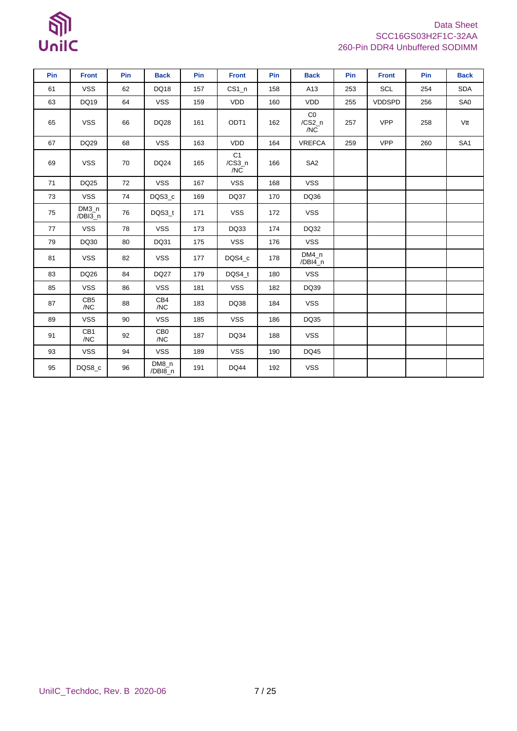# $\mathbb{S}$ UnilC

### Data Sheet SCC16GS03H2F1C-32AA 260-Pin DDR4 Unbuffered SODIMM

| Pin | <b>Front</b>           | Pin | <b>Back</b>            | Pin | <b>Front</b>          | Pin | <b>Back</b>         | Pin | <b>Front</b>  | Pin | <b>Back</b>     |
|-----|------------------------|-----|------------------------|-----|-----------------------|-----|---------------------|-----|---------------|-----|-----------------|
| 61  | <b>VSS</b>             | 62  | DQ18                   | 157 | $CS1_n$               | 158 | A13                 | 253 | SCL           | 254 | <b>SDA</b>      |
| 63  | <b>DQ19</b>            | 64  | <b>VSS</b>             | 159 | VDD                   | 160 | <b>VDD</b>          | 255 | <b>VDDSPD</b> | 256 | SA0             |
| 65  | <b>VSS</b>             | 66  | <b>DQ28</b>            | 161 | ODT <sub>1</sub>      | 162 | CO<br>/CS2_n<br>/NC | 257 | <b>VPP</b>    | 258 | Vtt             |
| 67  | DQ29                   | 68  | <b>VSS</b>             | 163 | VDD                   | 164 | VREFCA              | 259 | <b>VPP</b>    | 260 | SA <sub>1</sub> |
| 69  | <b>VSS</b>             | 70  | <b>DQ24</b>            | 165 | C1<br>$/CS3_n$<br>/NC | 166 | SA <sub>2</sub>     |     |               |     |                 |
| 71  | DQ25                   | 72  | <b>VSS</b>             | 167 | <b>VSS</b>            | 168 | <b>VSS</b>          |     |               |     |                 |
| 73  | <b>VSS</b>             | 74  | DQS3_c                 | 169 | DQ37                  | 170 | DQ36                |     |               |     |                 |
| 75  | $DM3_n$<br>/DBI3_n     | 76  | DQS3_t                 | 171 | <b>VSS</b>            | 172 | <b>VSS</b>          |     |               |     |                 |
| 77  | <b>VSS</b>             | 78  | <b>VSS</b>             | 173 | DQ33                  | 174 | DQ32                |     |               |     |                 |
| 79  | DQ30                   | 80  | DQ31                   | 175 | <b>VSS</b>            | 176 | <b>VSS</b>          |     |               |     |                 |
| 81  | <b>VSS</b>             | 82  | <b>VSS</b>             | 177 | DQS4_c                | 178 | $DM4_n$<br>/DBI4_n  |     |               |     |                 |
| 83  | DQ26                   | 84  | <b>DQ27</b>            | 179 | DQS4 t                | 180 | <b>VSS</b>          |     |               |     |                 |
| 85  | <b>VSS</b>             | 86  | <b>VSS</b>             | 181 | <b>VSS</b>            | 182 | DQ39                |     |               |     |                 |
| 87  | CB <sub>5</sub><br>/NC | 88  | CB4<br>/NC             | 183 | DQ38                  | 184 | <b>VSS</b>          |     |               |     |                 |
| 89  | <b>VSS</b>             | 90  | <b>VSS</b>             | 185 | <b>VSS</b>            | 186 | DQ35                |     |               |     |                 |
| 91  | CB1<br>/NC             | 92  | CB <sub>0</sub><br>/NC | 187 | DQ34                  | 188 | <b>VSS</b>          |     |               |     |                 |
| 93  | <b>VSS</b>             | 94  | <b>VSS</b>             | 189 | <b>VSS</b>            | 190 | DQ45                |     |               |     |                 |
| 95  | DQS8_c                 | 96  | DM8_n<br>/DBI8_n       | 191 | DQ44                  | 192 | <b>VSS</b>          |     |               |     |                 |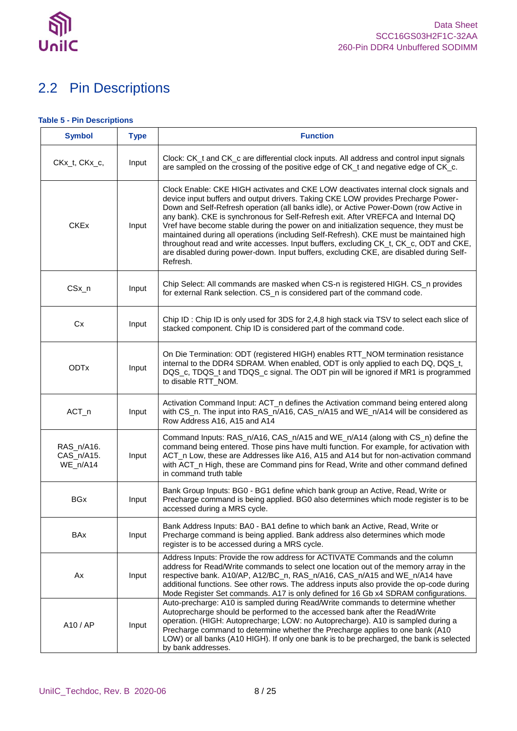

## <span id="page-7-0"></span>2.2 Pin Descriptions

### <span id="page-7-1"></span>**Table 5 - Pin Descriptions**

| <b>Symbol</b>                        | <b>Type</b> | <b>Function</b>                                                                                                                                                                                                                                                                                                                                                                                                                                                                                                                                                                                                                                                                                                                           |
|--------------------------------------|-------------|-------------------------------------------------------------------------------------------------------------------------------------------------------------------------------------------------------------------------------------------------------------------------------------------------------------------------------------------------------------------------------------------------------------------------------------------------------------------------------------------------------------------------------------------------------------------------------------------------------------------------------------------------------------------------------------------------------------------------------------------|
| CKx_t, CKx_c,                        | Input       | Clock: CK_t and CK_c are differential clock inputs. All address and control input signals<br>are sampled on the crossing of the positive edge of CK_t and negative edge of CK_c.                                                                                                                                                                                                                                                                                                                                                                                                                                                                                                                                                          |
| <b>CKEx</b>                          | Input       | Clock Enable: CKE HIGH activates and CKE LOW deactivates internal clock signals and<br>device input buffers and output drivers. Taking CKE LOW provides Precharge Power-<br>Down and Self-Refresh operation (all banks idle), or Active Power-Down (row Active in<br>any bank). CKE is synchronous for Self-Refresh exit. After VREFCA and Internal DQ<br>Vref have become stable during the power on and initialization sequence, they must be<br>maintained during all operations (including Self-Refresh). CKE must be maintained high<br>throughout read and write accesses. Input buffers, excluding CK_t, CK_c, ODT and CKE,<br>are disabled during power-down. Input buffers, excluding CKE, are disabled during Self-<br>Refresh. |
| $CSx_n$                              | Input       | Chip Select: All commands are masked when CS-n is registered HIGH. CS_n provides<br>for external Rank selection. CS_n is considered part of the command code.                                                                                                                                                                                                                                                                                                                                                                                                                                                                                                                                                                             |
| <b>Cx</b>                            | Input       | Chip ID : Chip ID is only used for 3DS for 2,4,8 high stack via TSV to select each slice of<br>stacked component. Chip ID is considered part of the command code.                                                                                                                                                                                                                                                                                                                                                                                                                                                                                                                                                                         |
| <b>ODTx</b>                          | Input       | On Die Termination: ODT (registered HIGH) enables RTT_NOM termination resistance<br>internal to the DDR4 SDRAM. When enabled, ODT is only applied to each DQ, DQS_t,<br>DQS_c, TDQS_t and TDQS_c signal. The ODT pin will be ignored if MR1 is programmed<br>to disable RTT_NOM.                                                                                                                                                                                                                                                                                                                                                                                                                                                          |
| $ACT_n$                              | Input       | Activation Command Input: ACT_n defines the Activation command being entered along<br>with CS_n. The input into RAS_n/A16, CAS_n/A15 and WE_n/A14 will be considered as<br>Row Address A16, A15 and A14                                                                                                                                                                                                                                                                                                                                                                                                                                                                                                                                   |
| RAS_n/A16.<br>CAS_n/A15.<br>WE_n/A14 | Input       | Command Inputs: RAS_n/A16, CAS_n/A15 and WE_n/A14 (along with CS_n) define the<br>command being entered. Those pins have multi function. For example, for activation with<br>ACT_n Low, these are Addresses like A16, A15 and A14 but for non-activation command<br>with ACT_n High, these are Command pins for Read, Write and other command defined<br>in command truth table                                                                                                                                                                                                                                                                                                                                                           |
| <b>BGx</b>                           | Input       | Bank Group Inputs: BG0 - BG1 define which bank group an Active, Read, Write or<br>Precharge command is being applied. BG0 also determines which mode register is to be<br>accessed during a MRS cycle.                                                                                                                                                                                                                                                                                                                                                                                                                                                                                                                                    |
| BAx                                  | Input       | Bank Address Inputs: BA0 - BA1 define to which bank an Active, Read, Write or<br>Precharge command is being applied. Bank address also determines which mode<br>register is to be accessed during a MRS cycle.                                                                                                                                                                                                                                                                                                                                                                                                                                                                                                                            |
| Ax                                   | Input       | Address Inputs: Provide the row address for ACTIVATE Commands and the column<br>address for Read/Write commands to select one location out of the memory array in the<br>respective bank. A10/AP, A12/BC_n, RAS_n/A16, CAS_n/A15 and WE_n/A14 have<br>additional functions. See other rows. The address inputs also provide the op-code during<br>Mode Register Set commands. A17 is only defined for 16 Gb x4 SDRAM configurations.                                                                                                                                                                                                                                                                                                      |
| A10 / AP                             | Input       | Auto-precharge: A10 is sampled during Read/Write commands to determine whether<br>Autoprecharge should be performed to the accessed bank after the Read/Write<br>operation. (HIGH: Autoprecharge; LOW: no Autoprecharge). A10 is sampled during a<br>Precharge command to determine whether the Precharge applies to one bank (A10)<br>LOW) or all banks (A10 HIGH). If only one bank is to be precharged, the bank is selected<br>by bank addresses.                                                                                                                                                                                                                                                                                     |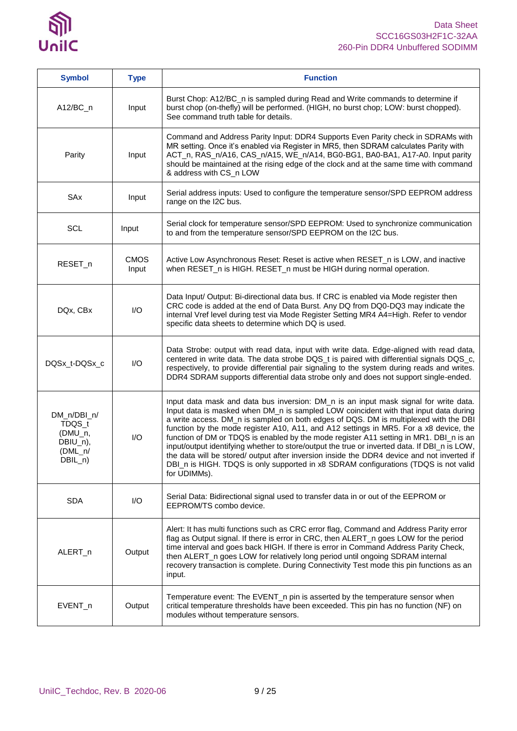

| <b>Symbol</b>                                                          | <b>Type</b>             | <b>Function</b>                                                                                                                                                                                                                                                                                                                                                                                                                                                                                                                                                                                                                                                                                                                                              |
|------------------------------------------------------------------------|-------------------------|--------------------------------------------------------------------------------------------------------------------------------------------------------------------------------------------------------------------------------------------------------------------------------------------------------------------------------------------------------------------------------------------------------------------------------------------------------------------------------------------------------------------------------------------------------------------------------------------------------------------------------------------------------------------------------------------------------------------------------------------------------------|
| $A12/BC_n$                                                             | Input                   | Burst Chop: A12/BC_n is sampled during Read and Write commands to determine if<br>burst chop (on-thefly) will be performed. (HIGH, no burst chop; LOW: burst chopped).<br>See command truth table for details.                                                                                                                                                                                                                                                                                                                                                                                                                                                                                                                                               |
| Parity                                                                 | Input                   | Command and Address Parity Input: DDR4 Supports Even Parity check in SDRAMs with<br>MR setting. Once it's enabled via Register in MR5, then SDRAM calculates Parity with<br>ACT_n, RAS_n/A16, CAS_n/A15, WE_n/A14, BG0-BG1, BA0-BA1, A17-A0. Input parity<br>should be maintained at the rising edge of the clock and at the same time with command<br>& address with CS_n LOW                                                                                                                                                                                                                                                                                                                                                                               |
| SAx                                                                    | Input                   | Serial address inputs: Used to configure the temperature sensor/SPD EEPROM address<br>range on the I2C bus.                                                                                                                                                                                                                                                                                                                                                                                                                                                                                                                                                                                                                                                  |
| <b>SCL</b>                                                             | Input                   | Serial clock for temperature sensor/SPD EEPROM: Used to synchronize communication<br>to and from the temperature sensor/SPD EEPROM on the I2C bus.                                                                                                                                                                                                                                                                                                                                                                                                                                                                                                                                                                                                           |
| RESET_n                                                                | <b>CMOS</b><br>Input    | Active Low Asynchronous Reset: Reset is active when RESET_n is LOW, and inactive<br>when RESET_n is HIGH. RESET_n must be HIGH during normal operation.                                                                                                                                                                                                                                                                                                                                                                                                                                                                                                                                                                                                      |
| DQx, CBx                                                               | I/O                     | Data Input/ Output: Bi-directional data bus. If CRC is enabled via Mode register then<br>CRC code is added at the end of Data Burst. Any DQ from DQ0-DQ3 may indicate the<br>internal Vref level during test via Mode Register Setting MR4 A4=High. Refer to vendor<br>specific data sheets to determine which DQ is used.                                                                                                                                                                                                                                                                                                                                                                                                                                   |
| DQSx_t-DQSx_c                                                          | $\mathsf{I}/\mathsf{O}$ | Data Strobe: output with read data, input with write data. Edge-aligned with read data,<br>centered in write data. The data strobe DQS_t is paired with differential signals DQS_c,<br>respectively, to provide differential pair signaling to the system during reads and writes.<br>DDR4 SDRAM supports differential data strobe only and does not support single-ended.                                                                                                                                                                                                                                                                                                                                                                                   |
| DM_n/DBI_n/<br>TDQS_t<br>(DMU_n,<br>DBIU_n),<br>$(DML_n/$<br>$DBIL_n)$ | I/O                     | Input data mask and data bus inversion: DM_n is an input mask signal for write data.<br>Input data is masked when DM_n is sampled LOW coincident with that input data during<br>a write access. DM_n is sampled on both edges of DQS. DM is multiplexed with the DBI<br>function by the mode register A10, A11, and A12 settings in MR5. For a x8 device, the<br>function of DM or TDQS is enabled by the mode register A11 setting in MR1. DBI_n is an<br>input/output identifying whether to store/output the true or inverted data. If DBI_n is LOW,<br>the data will be stored/ output after inversion inside the DDR4 device and not inverted if<br>DBI_n is HIGH. TDQS is only supported in x8 SDRAM configurations (TDQS is not valid<br>for UDIMMs). |
| <b>SDA</b>                                                             | I/O                     | Serial Data: Bidirectional signal used to transfer data in or out of the EEPROM or<br>EEPROM/TS combo device.                                                                                                                                                                                                                                                                                                                                                                                                                                                                                                                                                                                                                                                |
| ALERT_n                                                                | Output                  | Alert: It has multi functions such as CRC error flag, Command and Address Parity error<br>flag as Output signal. If there is error in CRC, then ALERT_n goes LOW for the period<br>time interval and goes back HIGH. If there is error in Command Address Parity Check,<br>then ALERT_n goes LOW for relatively long period until ongoing SDRAM internal<br>recovery transaction is complete. During Connectivity Test mode this pin functions as an<br>input.                                                                                                                                                                                                                                                                                               |
| EVENT_n                                                                | Output                  | Temperature event: The EVENT_n pin is asserted by the temperature sensor when<br>critical temperature thresholds have been exceeded. This pin has no function (NF) on<br>modules without temperature sensors.                                                                                                                                                                                                                                                                                                                                                                                                                                                                                                                                                |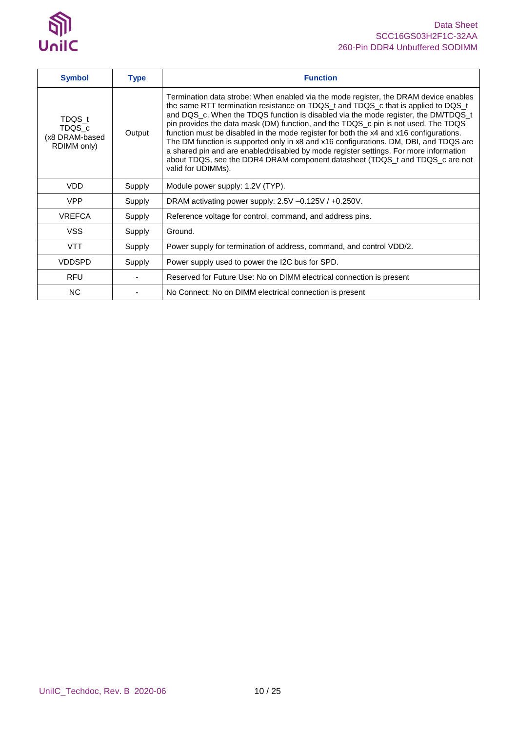

| <b>Symbol</b>                                     | <b>Type</b> | <b>Function</b>                                                                                                                                                                                                                                                                                                                                                                                                                                                                                                                                                                                                                                                                                                                         |
|---------------------------------------------------|-------------|-----------------------------------------------------------------------------------------------------------------------------------------------------------------------------------------------------------------------------------------------------------------------------------------------------------------------------------------------------------------------------------------------------------------------------------------------------------------------------------------------------------------------------------------------------------------------------------------------------------------------------------------------------------------------------------------------------------------------------------------|
| TDQS_t<br>TDQS_c<br>(x8 DRAM-based<br>RDIMM only) | Output      | Termination data strobe: When enabled via the mode register, the DRAM device enables<br>the same RTT termination resistance on TDQS_t and TDQS_c that is applied to DQS_t<br>and DQS_c. When the TDQS function is disabled via the mode register, the DM/TDQS_t<br>pin provides the data mask (DM) function, and the TDQS_c pin is not used. The TDQS<br>function must be disabled in the mode register for both the x4 and x16 configurations.<br>The DM function is supported only in x8 and x16 configurations. DM, DBI, and TDQS are<br>a shared pin and are enabled/disabled by mode register settings. For more information<br>about TDQS, see the DDR4 DRAM component datasheet (TDQS_t and TDQS_c are not<br>valid for UDIMMs). |
| <b>VDD</b>                                        | Supply      | Module power supply: 1.2V (TYP).                                                                                                                                                                                                                                                                                                                                                                                                                                                                                                                                                                                                                                                                                                        |
| <b>VPP</b>                                        | Supply      | DRAM activating power supply: 2.5V -0.125V / +0.250V.                                                                                                                                                                                                                                                                                                                                                                                                                                                                                                                                                                                                                                                                                   |
| <b>VREFCA</b>                                     | Supply      | Reference voltage for control, command, and address pins.                                                                                                                                                                                                                                                                                                                                                                                                                                                                                                                                                                                                                                                                               |
| <b>VSS</b>                                        | Supply      | Ground.                                                                                                                                                                                                                                                                                                                                                                                                                                                                                                                                                                                                                                                                                                                                 |
| <b>VTT</b>                                        | Supply      | Power supply for termination of address, command, and control VDD/2.                                                                                                                                                                                                                                                                                                                                                                                                                                                                                                                                                                                                                                                                    |
| <b>VDDSPD</b>                                     | Supply      | Power supply used to power the I2C bus for SPD.                                                                                                                                                                                                                                                                                                                                                                                                                                                                                                                                                                                                                                                                                         |
| <b>RFU</b>                                        |             | Reserved for Future Use: No on DIMM electrical connection is present                                                                                                                                                                                                                                                                                                                                                                                                                                                                                                                                                                                                                                                                    |
| <b>NC</b>                                         |             | No Connect: No on DIMM electrical connection is present                                                                                                                                                                                                                                                                                                                                                                                                                                                                                                                                                                                                                                                                                 |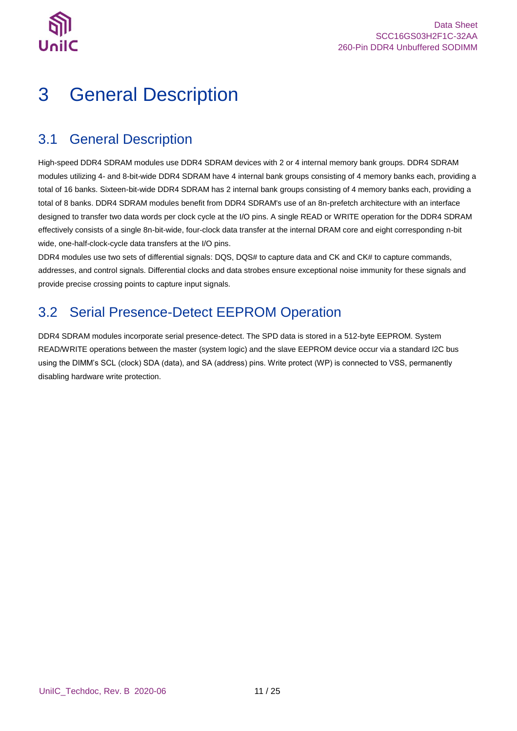

# <span id="page-10-0"></span>3 General Description

### <span id="page-10-1"></span>3.1 General Description

High-speed DDR4 SDRAM modules use DDR4 SDRAM devices with 2 or 4 internal memory bank groups. DDR4 SDRAM modules utilizing 4- and 8-bit-wide DDR4 SDRAM have 4 internal bank groups consisting of 4 memory banks each, providing a total of 16 banks. Sixteen-bit-wide DDR4 SDRAM has 2 internal bank groups consisting of 4 memory banks each, providing a total of 8 banks. DDR4 SDRAM modules benefit from DDR4 SDRAM's use of an 8n-prefetch architecture with an interface designed to transfer two data words per clock cycle at the I/O pins. A single READ or WRITE operation for the DDR4 SDRAM effectively consists of a single 8n-bit-wide, four-clock data transfer at the internal DRAM core and eight corresponding n-bit wide, one-half-clock-cycle data transfers at the I/O pins.

DDR4 modules use two sets of differential signals: DQS, DQS# to capture data and CK and CK# to capture commands, addresses, and control signals. Differential clocks and data strobes ensure exceptional noise immunity for these signals and provide precise crossing points to capture input signals.

## <span id="page-10-2"></span>3.2 Serial Presence-Detect EEPROM Operation

DDR4 SDRAM modules incorporate serial presence-detect. The SPD data is stored in a 512-byte EEPROM. System READ/WRITE operations between the master (system logic) and the slave EEPROM device occur via a standard I2C bus using the DIMM's SCL (clock) SDA (data), and SA (address) pins. Write protect (WP) is connected to VSS, permanently disabling hardware write protection.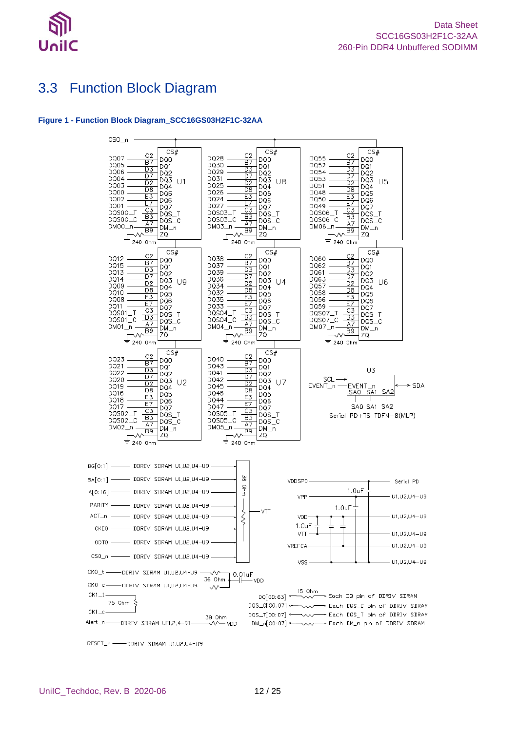

### <span id="page-11-0"></span>3.3 Function Block Diagram

#### <span id="page-11-1"></span>**Figure 1 - Function Block Diagram\_SCC16GS03H2F1C-32AA**



RESET\_n - DDRIV SDRAM U1,U2,U4-U9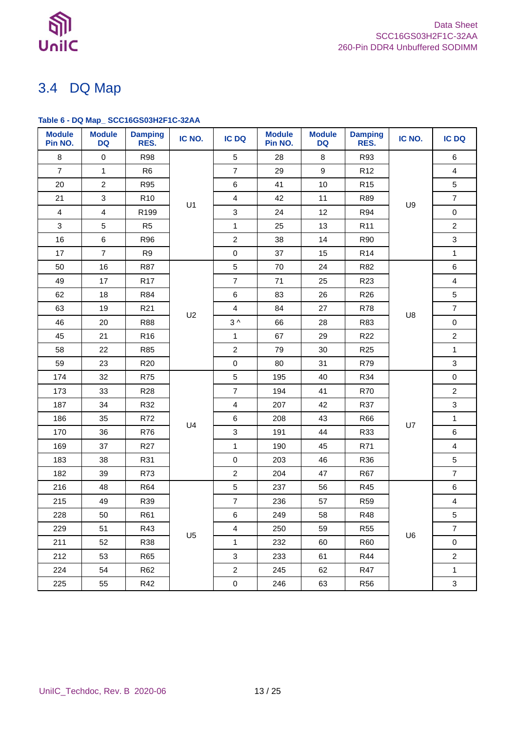

## <span id="page-12-0"></span>3.4 DQ Map

### <span id="page-12-1"></span>**Table 6 - DQ Map\_ SCC16GS03H2F1C-32AA**

| <b>Module</b><br>Pin NO. | <b>Module</b><br><b>DQ</b> | <b>Damping</b><br>RES. | IC NO.         | <b>IC DQ</b>            | <b>Module</b><br>Pin NO. | <b>Module</b><br><b>DQ</b> | <b>Damping</b><br>RES. | IC NO. | <b>IC DQ</b>   |
|--------------------------|----------------------------|------------------------|----------------|-------------------------|--------------------------|----------------------------|------------------------|--------|----------------|
| 8                        | $\mathsf{O}\xspace$        | <b>R98</b>             |                | 5                       | 28                       | 8                          | R93                    |        | 6              |
| $\overline{7}$           | $\mathbf{1}$               | R <sub>6</sub>         |                | $\overline{7}$          | 29                       | $\boldsymbol{9}$           | R <sub>12</sub>        |        | $\overline{4}$ |
| 20                       | $\overline{2}$             | R95                    |                | $\,6\,$                 | 41                       | $10$                       | R <sub>15</sub>        |        | 5              |
| 21                       | 3                          | R <sub>10</sub>        | U1             | $\overline{4}$          | 42                       | 11                         | R89                    |        | $\overline{7}$ |
| $\overline{4}$           | $\overline{4}$             | R199                   |                | $\mathbf{3}$            | 24                       | 12                         | R94                    | U9     | $\mathbf 0$    |
| 3                        | 5                          | R <sub>5</sub>         |                | $\mathbf{1}$            | 25                       | 13                         | R <sub>11</sub>        |        | $\overline{c}$ |
| 16                       | 6                          | R96                    |                | $\overline{c}$          | 38                       | 14                         | R90                    |        | $\mathfrak{S}$ |
| 17                       | $\overline{7}$             | R <sub>9</sub>         |                | $\pmb{0}$               | 37                       | 15                         | R <sub>14</sub>        |        | $\mathbf{1}$   |
| 50                       | 16                         | <b>R87</b>             |                | 5                       | 70                       | 24                         | R82                    |        | $\,6\,$        |
| 49                       | 17                         | <b>R17</b>             |                | $\overline{7}$          | 71                       | 25                         | R <sub>23</sub>        |        | $\overline{4}$ |
| 62                       | 18                         | R84                    |                | 6                       | 83                       | 26                         | R <sub>26</sub>        |        | 5              |
| 63                       | 19                         | R <sub>21</sub>        |                | $\overline{4}$          | 84                       | 27                         | R78                    |        | $\overline{7}$ |
| 46                       | 20                         | R88                    | U2             | $3^{\wedge}$            | 66                       | 28                         | R83                    | U8     | $\mathsf 0$    |
| 45                       | 21                         | R <sub>16</sub>        |                | $\mathbf{1}$            | 67                       | 29                         | R <sub>22</sub>        |        | $\overline{c}$ |
| 58                       | 22                         | R85                    |                | $\overline{c}$          | 79                       | 30                         | R <sub>25</sub>        |        | $\mathbf{1}$   |
| 59                       | 23                         | R <sub>20</sub>        |                | $\pmb{0}$               | 80                       | 31                         | R79                    |        | $\mathfrak{S}$ |
| 174                      | 32                         | <b>R75</b>             |                | 5                       | 195                      | 40                         | R34                    |        | $\mathsf 0$    |
| 173                      | 33                         | R <sub>28</sub>        |                | $\overline{7}$          | 194                      | 41                         | <b>R70</b>             |        | $\overline{a}$ |
| 187                      | 34                         | R32                    |                | $\overline{4}$          | 207                      | 42                         | R37                    |        | $\mathfrak{S}$ |
| 186                      | 35                         | R72                    | U <sub>4</sub> | $\,6\,$                 | 208                      | 43                         | R66                    | U7     | $\mathbf{1}$   |
| 170                      | 36                         | R76                    |                | $\mathbf{3}$            | 191                      | 44                         | R33                    |        | 6              |
| 169                      | 37                         | R <sub>27</sub>        |                | $\mathbf{1}$            | 190                      | 45                         | R71                    |        | $\overline{4}$ |
| 183                      | 38                         | R31                    |                | $\pmb{0}$               | 203                      | 46                         | R36                    |        | 5              |
| 182                      | 39                         | R73                    |                | $\overline{c}$          | 204                      | 47                         | <b>R67</b>             |        | $\overline{7}$ |
| 216                      | 48                         | R64                    |                | 5                       | 237                      | 56                         | R45                    |        | 6              |
| 215                      | 49                         | R39                    |                | $\boldsymbol{7}$        | 236                      | 57                         | <b>R59</b>             |        | $\overline{4}$ |
| 228                      | 50                         | R61                    |                | $\,6\,$                 | 249                      | 58                         | R48                    |        | 5              |
| 229                      | 51                         | R43                    | U <sub>5</sub> | $\overline{\mathbf{4}}$ | 250                      | 59                         | <b>R55</b>             | U6     | $\overline{7}$ |
| 211                      | 52                         | R38                    |                | $\mathbf{1}$            | 232                      | 60                         | R60                    |        | 0              |
| 212                      | 53                         | R65                    |                | $\mathbf{3}$            | 233                      | 61                         | R44                    |        | $\overline{a}$ |
| 224                      | 54                         | R62                    |                | $\overline{a}$          | 245                      | 62                         | <b>R47</b>             |        | $\mathbf{1}$   |
| 225                      | 55                         | R42                    |                | $\mathbf 0$             | 246                      | 63                         | R56                    |        | 3              |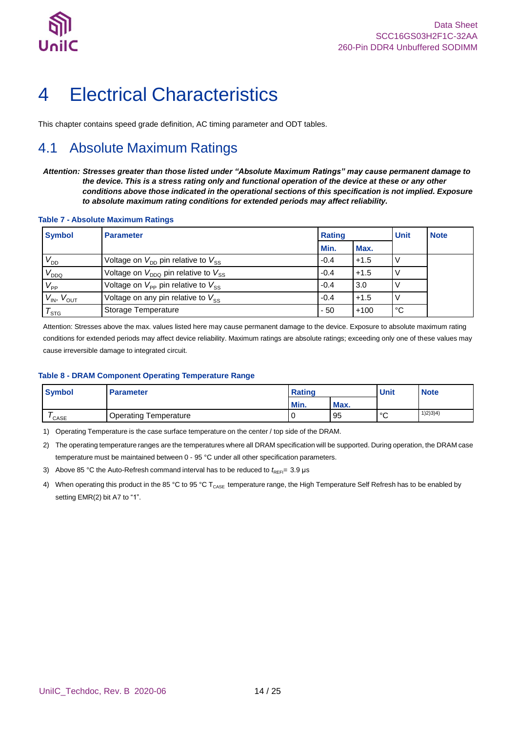

## <span id="page-13-0"></span>4 Electrical Characteristics

This chapter contains speed grade definition, AC timing parameter and ODT tables.

## <span id="page-13-1"></span>4.1 Absolute Maximum Ratings

*Attention: Stresses greater than those listed under "Absolute Maximum Ratings" may cause permanent damage to the device. This is a stress rating only and functional operation of the device at these or any other conditions above those indicated in the operational sections of this specification is not implied. Exposure to absolute maximum rating conditions for extended periods may affect reliability.*

#### <span id="page-13-2"></span>**Table 7 - Absolute Maximum Ratings**

| <b>Symbol</b>        | <b>Parameter</b>                                           | <b>Rating</b> | Unit   | <b>Note</b> |  |
|----------------------|------------------------------------------------------------|---------------|--------|-------------|--|
|                      |                                                            | Min.          | Max.   |             |  |
| $V_{DD}$             | Voltage on $V_{\text{DD}}$ pin relative to $V_{\text{SS}}$ | $-0.4$        | $+1.5$ |             |  |
| $V_{DDQ}$            | Voltage on $V_{DDO}$ pin relative to $V_{SS}$              | $-0.4$        | $+1.5$ |             |  |
| $V_{\mathsf{PP}}$    | Voltage on $V_{\text{PP}}$ pin relative to $V_{\text{SS}}$ | $-0.4$        | 3.0    |             |  |
| $V_{IN}$ , $V_{OUT}$ | Voltage on any pin relative to $V_{SS}$                    | $-0.4$        | $+1.5$ |             |  |
| $\tau_{\text{src}}$  | Storage Temperature                                        | $-50$         | $+100$ | °C          |  |

.<br>Attention: Stresses above the max. values listed here may cause permanent damage to the device. Exposure to absolute maximum rating conditions for extended periods may affect device reliability. Maximum ratings are absolute ratings; exceeding only one of these values may cause irreversible damage to integrated circuit.

#### <span id="page-13-3"></span>**Table 8 - DRAM Component Operating Temperature Range**

| <b>Symbol</b> | <b>Parameter</b>             | <b>Rating</b> |      | <b>Unit</b>  | <b>Note</b> |
|---------------|------------------------------|---------------|------|--------------|-------------|
|               |                              | Min.          | Max. |              |             |
| ' CASE        | <b>Operating Temperature</b> |               | 95   | $\circ$<br>ັ | 1)2)3)4)    |

1) Operating Temperature is the case surface temperature on the center / top side of the DRAM.

2) The operating temperature ranges are the temperatures where all DRAM specification will be supported. During operation, the DRAM case temperature must be maintained between 0 - 95 °C under all other specification parameters.

- 3) Above 85 °C the Auto-Refresh command interval has to be reduced to  $t_{\text{REF}}$  = 3.9 µs
- 4) When operating this product in the 85 °C to 95 °C T<sub>CASE</sub> temperature range, the High Temperature Self Refresh has to be enabled by setting EMR(2) bit A7 to "1".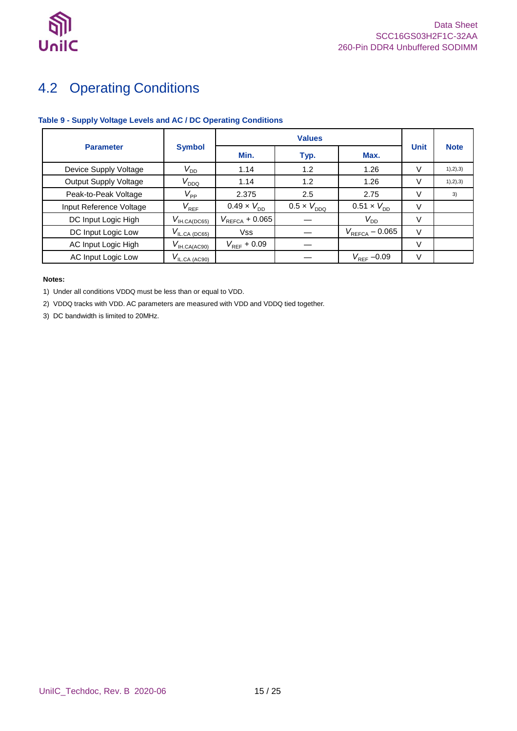

## <span id="page-14-0"></span>4.2 Operating Conditions

### <span id="page-14-1"></span>**Table 9 - Supply Voltage Levels and AC / DC Operating Conditions**

|                              |                                                 | <b>Values</b>               |                      |                             |             |             |
|------------------------------|-------------------------------------------------|-----------------------------|----------------------|-----------------------------|-------------|-------------|
| <b>Parameter</b>             | <b>Symbol</b>                                   | Min.                        | Typ.                 | Max.                        | <b>Unit</b> | <b>Note</b> |
| Device Supply Voltage        | $V_{DD}$                                        | 1.14                        | 1.2                  | 1.26                        | V           | 1), 2), 3)  |
| <b>Output Supply Voltage</b> | $V_{DDQ}$                                       | 1.14                        | 1.2                  | 1.26                        | v           | 1), 2), 3)  |
| Peak-to-Peak Voltage         | $V_\mathsf{PP}$                                 | 2.375                       | 2.5                  | 2.75                        | V           | 3)          |
| Input Reference Voltage      | $V_{\text{REF}}$                                | $0.49 \times V_{\text{DD}}$ | $0.5 \times V_{DDO}$ | $0.51 \times V_{\text{DD}}$ | v           |             |
| DC Input Logic High          | $V_{\text{IH.CA}(\underline{\mathsf{DC65}})}$   | $V_{\text{REFCA}} + 0.065$  |                      | $V_{DD}$                    | V           |             |
| DC Input Logic Low           | $V_{\text{IL.CA (D\text{C65})}}$                | <b>Vss</b>                  |                      | $V_{\text{REFCA}} - 0.065$  | $\vee$      |             |
| AC Input Logic High          | $V_{\mathsf{IH.CA}(\underline{\mathsf{AC90}})}$ | $V_{\text{REF}}$ + 0.09     |                      |                             | V           |             |
| AC Input Logic Low           | $V_{\text{IL,CA (AC90)}}$                       |                             |                      | $V_{\text{REF}}$ -0.09      | V           |             |

#### **Notes:**

1) Under all conditions VDDQ must be less than or equal to VDD.

2) VDDQ tracks with VDD. AC parameters are measured with VDD and VDDQ tied together.

3) DC bandwidth is limited to 20MHz.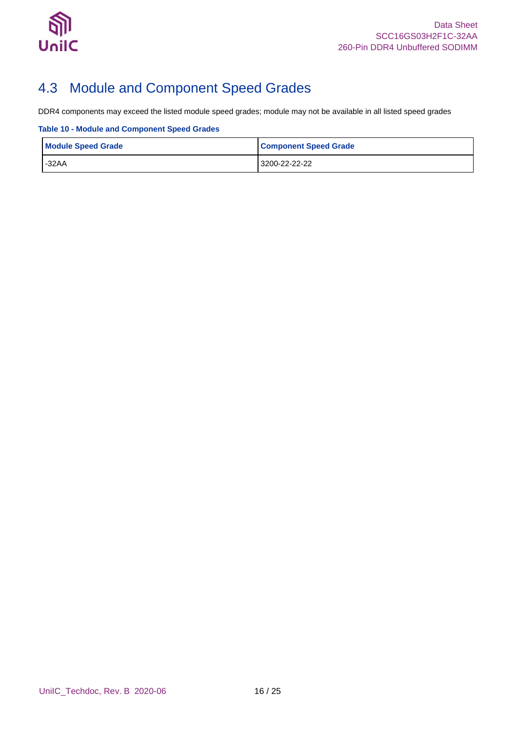

## <span id="page-15-0"></span>4.3 Module and Component Speed Grades

DDR4 components may exceed the listed module speed grades; module may not be available in all listed speed grades

<span id="page-15-1"></span>**Table 10 - Module and Component Speed Grades**

| <b>Module Speed Grade</b> | <b>Component Speed Grade</b> |
|---------------------------|------------------------------|
| $-32AA$                   | 3200-22-22-22                |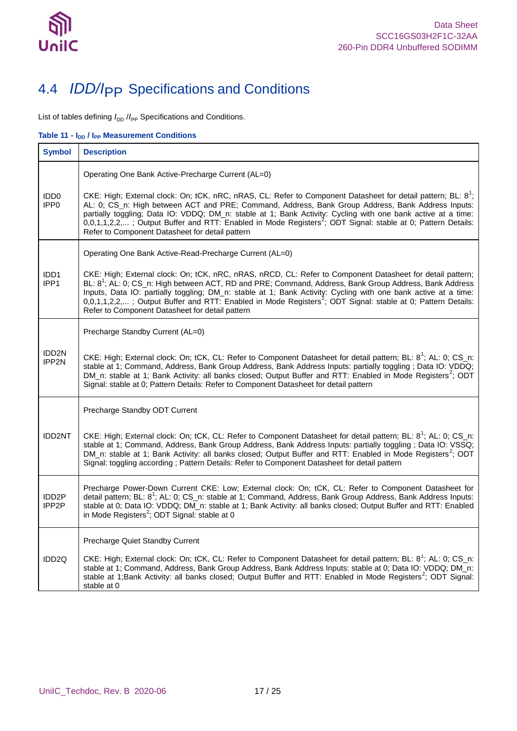

## <span id="page-16-0"></span>4.4 *IDD/I*PP Specifications and Conditions

List of tables defining  $I_{\text{DD}}$  / $I_{\text{PP}}$  Specifications and Conditions.

<span id="page-16-1"></span>Table 11 **-**  $I_{DD}$  /  $I_{PP}$  Measurement Conditions

| <b>Symbol</b>                        | <b>Description</b>                                                                                                                                                                                                                                                                                                                                                                                                                                                                                                                 |
|--------------------------------------|------------------------------------------------------------------------------------------------------------------------------------------------------------------------------------------------------------------------------------------------------------------------------------------------------------------------------------------------------------------------------------------------------------------------------------------------------------------------------------------------------------------------------------|
|                                      | Operating One Bank Active-Precharge Current (AL=0)                                                                                                                                                                                                                                                                                                                                                                                                                                                                                 |
| IDD <sub>0</sub><br>IPP <sub>0</sub> | CKE: High; External clock: On; tCK, nRC, nRAS, CL: Refer to Component Datasheet for detail pattern; BL: 8 <sup>1</sup> ;<br>AL: 0; CS_n: High between ACT and PRE; Command, Address, Bank Group Address, Bank Address Inputs:<br>partially toggling; Data IO: VDDQ; DM_n: stable at 1; Bank Activity: Cycling with one bank active at a time:<br>$0,0,1,1,2,2,$ ; Output Buffer and RTT: Enabled in Mode Registers <sup>2</sup> ; ODT Signal: stable at 0; Pattern Details:<br>Refer to Component Datasheet for detail pattern     |
|                                      | Operating One Bank Active-Read-Precharge Current (AL=0)                                                                                                                                                                                                                                                                                                                                                                                                                                                                            |
| IDD <sub>1</sub><br>IPP1             | CKE: High; External clock: On; tCK, nRC, nRAS, nRCD, CL: Refer to Component Datasheet for detail pattern;<br>BL: 8 <sup>1</sup> ; AL: 0; CS_n: High between ACT, RD and PRE; Command, Address, Bank Group Address, Bank Address<br>Inputs, Data IO: partially toggling; DM_n: stable at 1; Bank Activity: Cycling with one bank active at a time:<br>$0,0,1,1,2,2,$ ; Output Buffer and RTT: Enabled in Mode Registers <sup>2</sup> ; ODT Signal: stable at 0; Pattern Details:<br>Refer to Component Datasheet for detail pattern |
|                                      | Precharge Standby Current (AL=0)                                                                                                                                                                                                                                                                                                                                                                                                                                                                                                   |
| IDD <sub>2N</sub><br>IPP2N           | CKE: High; External clock: On; tCK, CL: Refer to Component Datasheet for detail pattern; BL: 8 <sup>1</sup> ; AL: 0; CS_n:<br>stable at 1; Command, Address, Bank Group Address, Bank Address Inputs: partially toggling; Data IO: VDDQ;<br>DM_n: stable at 1; Bank Activity: all banks closed; Output Buffer and RTT: Enabled in Mode Registers <sup>2</sup> ; ODT<br>Signal: stable at 0; Pattern Details: Refer to Component Datasheet for detail pattern                                                                       |
|                                      | Precharge Standby ODT Current                                                                                                                                                                                                                                                                                                                                                                                                                                                                                                      |
| <b>IDD2NT</b>                        | CKE: High; External clock: On; tCK, CL: Refer to Component Datasheet for detail pattern; BL: 8 <sup>1</sup> ; AL: 0; CS_n:<br>stable at 1; Command, Address, Bank Group Address, Bank Address Inputs: partially toggling ; Data IO: VSSQ;<br>DM_n: stable at 1; Bank Activity: all banks closed; Output Buffer and RTT: Enabled in Mode Registers <sup>2</sup> ; ODT<br>Signal: toggling according; Pattern Details: Refer to Component Datasheet for detail pattern                                                               |
| IDD <sub>2</sub> P<br>IPP2P          | Precharge Power-Down Current CKE: Low; External clock: On; tCK, CL: Refer to Component Datasheet for<br>detail pattern; BL: 8 <sup>1</sup> ; AL: 0; CS_n: stable at 1; Command, Address, Bank Group Address, Bank Address Inputs:<br>stable at 0; Data IO: VDDQ; DM_n: stable at 1; Bank Activity: all banks closed; Output Buffer and RTT: Enabled<br>in Mode Registers <sup>2</sup> ; ODT Signal: stable at 0                                                                                                                    |
|                                      | Precharge Quiet Standby Current                                                                                                                                                                                                                                                                                                                                                                                                                                                                                                    |
| IDD2Q                                | CKE: High; External clock: On; tCK, CL: Refer to Component Datasheet for detail pattern; BL: 8 <sup>1</sup> ; AL: 0; CS_n:<br>stable at 1; Command, Address, Bank Group Address, Bank Address Inputs: stable at 0; Data IO: VDDQ; DM_n:<br>stable at 1;Bank Activity: all banks closed; Output Buffer and RTT: Enabled in Mode Registers <sup>2</sup> ; ODT Signal:<br>stable at 0                                                                                                                                                 |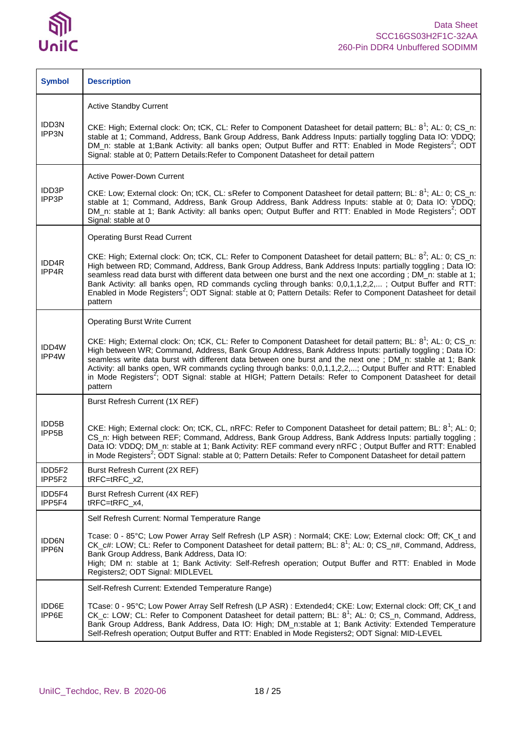

| <b>Symbol</b>               | <b>Description</b>                                                                                                                                                                                                                                                                                                                                                                                                                                                                                                                                                                                          |
|-----------------------------|-------------------------------------------------------------------------------------------------------------------------------------------------------------------------------------------------------------------------------------------------------------------------------------------------------------------------------------------------------------------------------------------------------------------------------------------------------------------------------------------------------------------------------------------------------------------------------------------------------------|
|                             | <b>Active Standby Current</b>                                                                                                                                                                                                                                                                                                                                                                                                                                                                                                                                                                               |
| IDD3N<br>IPP3N              | CKE: High; External clock: On; tCK, CL: Refer to Component Datasheet for detail pattern; BL: 8 <sup>1</sup> ; AL: 0; CS_n:<br>stable at 1; Command, Address, Bank Group Address, Bank Address Inputs: partially toggling Data IO: VDDQ;<br>DM_n: stable at 1;Bank Activity: all banks open; Output Buffer and RTT: Enabled in Mode Registers <sup>2</sup> ; ODT<br>Signal: stable at 0; Pattern Details: Refer to Component Datasheet for detail pattern                                                                                                                                                    |
|                             | <b>Active Power-Down Current</b>                                                                                                                                                                                                                                                                                                                                                                                                                                                                                                                                                                            |
| IDD3P<br>IPP3P              | CKE: Low; External clock: On; tCK, CL: sRefer to Component Datasheet for detail pattern; BL: 8 <sup>1</sup> ; AL: 0; CS_n:<br>stable at 1; Command, Address, Bank Group Address, Bank Address Inputs: stable at 0; Data IO: VDDQ;<br>DM_n: stable at 1; Bank Activity: all banks open; Output Buffer and RTT: Enabled in Mode Registers <sup>2</sup> ; ODT<br>Signal: stable at 0                                                                                                                                                                                                                           |
|                             | <b>Operating Burst Read Current</b>                                                                                                                                                                                                                                                                                                                                                                                                                                                                                                                                                                         |
| IDD4R<br>IPP4R              | CKE: High; External clock: On; tCK, CL: Refer to Component Datasheet for detail pattern; BL: 8 <sup>2</sup> ; AL: 0; CS_n:<br>High between RD; Command, Address, Bank Group Address, Bank Address Inputs: partially toggling ; Data IO:<br>seamless read data burst with different data between one burst and the next one according; DM_n: stable at 1;<br>Bank Activity: all banks open, RD commands cycling through banks: 0,0,1,1,2,2,; Output Buffer and RTT:<br>Enabled in Mode Registers <sup>2</sup> ; ODT Signal: stable at 0; Pattern Details: Refer to Component Datasheet for detail<br>pattern |
|                             | <b>Operating Burst Write Current</b>                                                                                                                                                                                                                                                                                                                                                                                                                                                                                                                                                                        |
| IDD4W<br>IPP4W              | CKE: High; External clock: On; tCK, CL: Refer to Component Datasheet for detail pattern; BL: 8 <sup>1</sup> ; AL: 0; CS_n:<br>High between WR; Command, Address, Bank Group Address, Bank Address Inputs: partially toggling; Data IO:<br>seamless write data burst with different data between one burst and the next one; DM_n: stable at 1; Bank<br>Activity: all banks open, WR commands cycling through banks: 0,0,1,1,2,2,; Output Buffer and RTT: Enabled<br>in Mode Registers <sup>2</sup> ; ODT Signal: stable at HIGH; Pattern Details: Refer to Component Datasheet for detail<br>pattern        |
|                             | Burst Refresh Current (1X REF)                                                                                                                                                                                                                                                                                                                                                                                                                                                                                                                                                                              |
| IDD5B<br>IPP <sub>5</sub> B | CKE: High; External clock: On; tCK, CL, nRFC: Refer to Component Datasheet for detail pattern; BL: 8 <sup>1</sup> ; AL: 0;<br>CS_n: High between REF; Command, Address, Bank Group Address, Bank Address Inputs: partially toggling;<br>Data IO: VDDQ; DM_n: stable at 1; Bank Activity: REF command every nRFC; Output Buffer and RTT: Enabled<br>in Mode Registers <sup>2</sup> ; ODT Signal: stable at 0; Pattern Details: Refer to Component Datasheet for detail pattern                                                                                                                               |
| IDD5F2<br>IPP5F2            | Burst Refresh Current (2X REF)<br>tRFC=tRFC x2,                                                                                                                                                                                                                                                                                                                                                                                                                                                                                                                                                             |
| IDD5F4<br>IPP5F4            | Burst Refresh Current (4X REF)<br>$tRFC=tRFC_x4$ ,                                                                                                                                                                                                                                                                                                                                                                                                                                                                                                                                                          |
|                             | Self Refresh Current: Normal Temperature Range                                                                                                                                                                                                                                                                                                                                                                                                                                                                                                                                                              |
| <b>IDD6N</b><br>IPP6N       | Tcase: 0 - 85°C; Low Power Array Self Refresh (LP ASR) : Normal4; CKE: Low; External clock: Off; CK_t and<br>CK_c#: LOW; CL: Refer to Component Datasheet for detail pattern; BL: 8 <sup>1</sup> ; AL: 0; CS_n#, Command, Address,<br>Bank Group Address, Bank Address, Data IO:<br>High; DM n: stable at 1; Bank Activity: Self-Refresh operation; Output Buffer and RTT: Enabled in Mode<br>Registers2; ODT Signal: MIDLEVEL                                                                                                                                                                              |
|                             | Self-Refresh Current: Extended Temperature Range)                                                                                                                                                                                                                                                                                                                                                                                                                                                                                                                                                           |
| IDD6E<br>IPP6E              | TCase: 0 - 95°C; Low Power Array Self Refresh (LP ASR) : Extended4; CKE: Low; External clock: Off; CK_t and<br>CK_c: LOW; CL: Refer to Component Datasheet for detail pattern; BL: 8 <sup>1</sup> ; AL: 0; CS_n, Command, Address,<br>Bank Group Address, Bank Address, Data IO: High; DM_n:stable at 1; Bank Activity: Extended Temperature<br>Self-Refresh operation; Output Buffer and RTT: Enabled in Mode Registers2; ODT Signal: MID-LEVEL                                                                                                                                                            |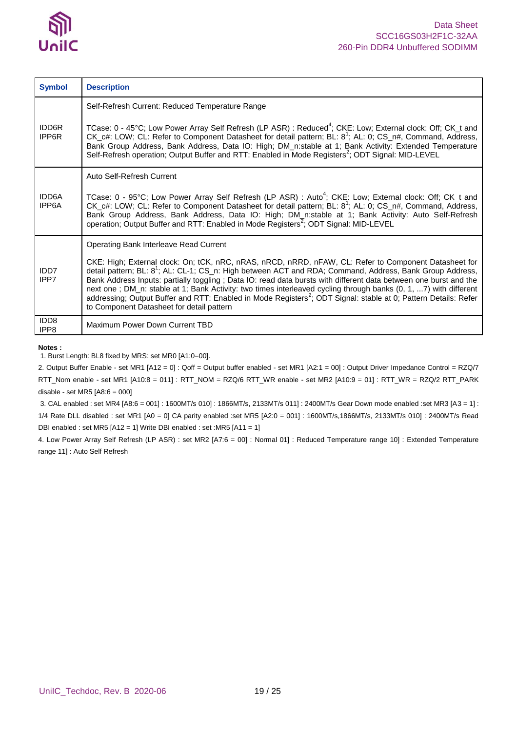

| <b>Symbol</b>            | <b>Description</b>                                                                                                                                                                                                                                                                                                                                                                                                                                                                                                                                                                                                                                                                          |
|--------------------------|---------------------------------------------------------------------------------------------------------------------------------------------------------------------------------------------------------------------------------------------------------------------------------------------------------------------------------------------------------------------------------------------------------------------------------------------------------------------------------------------------------------------------------------------------------------------------------------------------------------------------------------------------------------------------------------------|
| <b>IDD6R</b><br>IPP6R    | Self-Refresh Current: Reduced Temperature Range<br>TCase: 0 - 45°C; Low Power Array Self Refresh (LP ASR) : Reduced <sup>4</sup> ; CKE: Low; External clock: Off; CK t and<br>CK_c#: LOW; CL: Refer to Component Datasheet for detail pattern; BL: 8 <sup>1</sup> ; AL: 0; CS_n#, Command, Address,<br>Bank Group Address, Bank Address, Data IO: High; DM_n:stable at 1; Bank Activity: Extended Temperature<br>Self-Refresh operation; Output Buffer and RTT: Enabled in Mode Registers <sup>2</sup> ; ODT Signal: MID-LEVEL                                                                                                                                                              |
| <b>IDD6A</b><br>IPP6A    | Auto Self-Refresh Current<br>TCase: 0 - 95°C; Low Power Array Self Refresh (LP ASR) : Auto <sup>4</sup> ; CKE: Low; External clock: Off; CK_t and<br>CK_c#: LOW; CL: Refer to Component Datasheet for detail pattern; BL: 8 <sup>1</sup> ; AL: 0; CS_n#, Command, Address,<br>Bank Group Address, Bank Address, Data IO: High; DM_n:stable at 1; Bank Activity: Auto Self-Refresh<br>operation; Output Buffer and RTT: Enabled in Mode Registers <sup>2</sup> ; ODT Signal: MID-LEVEL                                                                                                                                                                                                       |
| IDD7<br>IPP7             | Operating Bank Interleave Read Current<br>CKE: High; External clock: On; tCK, nRC, nRAS, nRCD, nRRD, nFAW, CL: Refer to Component Datasheet for<br>detail pattern; BL: 8 <sup>1</sup> ; AL: CL-1; CS_n: High between ACT and RDA; Command, Address, Bank Group Address,<br>Bank Address Inputs: partially toggling; Data IO: read data bursts with different data between one burst and the<br>next one; DM_n: stable at 1; Bank Activity: two times interleaved cycling through banks (0, 1, 7) with different<br>addressing; Output Buffer and RTT: Enabled in Mode Registers <sup>2</sup> ; ODT Signal: stable at 0; Pattern Details: Refer<br>to Component Datasheet for detail pattern |
| IDD <sub>8</sub><br>IPP8 | Maximum Power Down Current TBD                                                                                                                                                                                                                                                                                                                                                                                                                                                                                                                                                                                                                                                              |

#### **Notes :**

1. Burst Length: BL8 fixed by MRS: set MR0 [A1:0=00].

2. Output Buffer Enable - set MR1 [A12 = 0] : Qoff = Output buffer enabled - set MR1 [A2:1 = 00] : Output Driver Impedance Control = RZQ/7 RTT\_Nom enable - set MR1 [A10:8 = 011] : RTT\_NOM = RZQ/6 RTT\_WR enable - set MR2 [A10:9 = 01] : RTT\_WR = RZQ/2 RTT\_PARK disable - set MR5 [A8:6 = 000]

3. CAL enabled : set MR4 [A8:6 = 001] : 1600MT/s 010] : 1866MT/s, 2133MT/s 011] : 2400MT/s Gear Down mode enabled :set MR3 [A3 = 1] : 1/4 Rate DLL disabled : set MR1 [A0 = 0] CA parity enabled :set MR5 [A2:0 = 001] : 1600MT/s,1866MT/s, 2133MT/s 010] : 2400MT/s Read DBI enabled : set MR5 [A12 = 1] Write DBI enabled : set :MR5 [A11 = 1]

4. Low Power Array Self Refresh (LP ASR) : set MR2 [A7:6 = 00] : Normal 01] : Reduced Temperature range 10] : Extended Temperature range 11] : Auto Self Refresh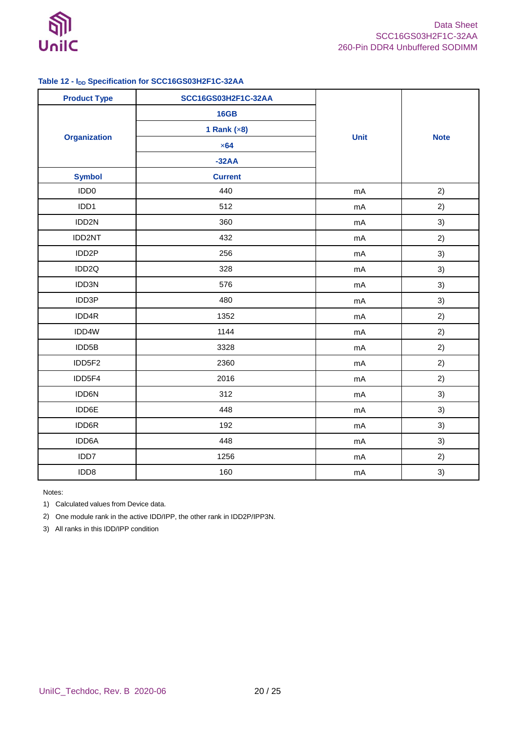

### <span id="page-19-0"></span>**Table 12 - IDD Specification for SCC16GS03H2F1C-32AA**

| <b>Product Type</b> | SCC16GS03H2F1C-32AA |             |             |
|---------------------|---------------------|-------------|-------------|
|                     | <b>16GB</b>         |             |             |
|                     | 1 Rank $(x8)$       |             |             |
| <b>Organization</b> | $\times 64$         | <b>Unit</b> | <b>Note</b> |
|                     | $-32AA$             |             |             |
| <b>Symbol</b>       | <b>Current</b>      |             |             |
| IDD <sub>0</sub>    | 440                 | mA          | 2)          |
| IDD1                | 512                 | mA          | 2)          |
| IDD2N               | 360                 | mA          | 3)          |
| IDD2NT              | 432                 | mA          | 2)          |
| IDD <sub>2</sub> P  | 256                 | mA          | 3)          |
| IDD2Q               | 328                 | mA          | 3)          |
| IDD3N               | 576                 | mA          | 3)          |
| IDD3P               | 480                 | mA          | 3)          |
| IDD4R               | 1352                | mA          | 2)          |
| IDD4W               | 1144                | mA          | 2)          |
| IDD5B               | 3328                | mA          | 2)          |
| IDD5F2              | 2360                | mA          | 2)          |
| IDD5F4              | 2016                | mA          | 2)          |
| IDD6N               | 312                 | mA          | 3)          |
| IDD6E               | 448                 | mA          | 3)          |
| IDD6R               | 192                 | mA          | 3)          |
| IDD6A               | 448                 | mA          | 3)          |
| IDD7                | 1256                | mA          | 2)          |
| IDD8                | 160                 | mA          | 3)          |

Notes:

1) Calculated values from Device data.

2) One module rank in the active IDD/IPP, the other rank in IDD2P/IPP3N.

3) All ranks in this IDD/IPP condition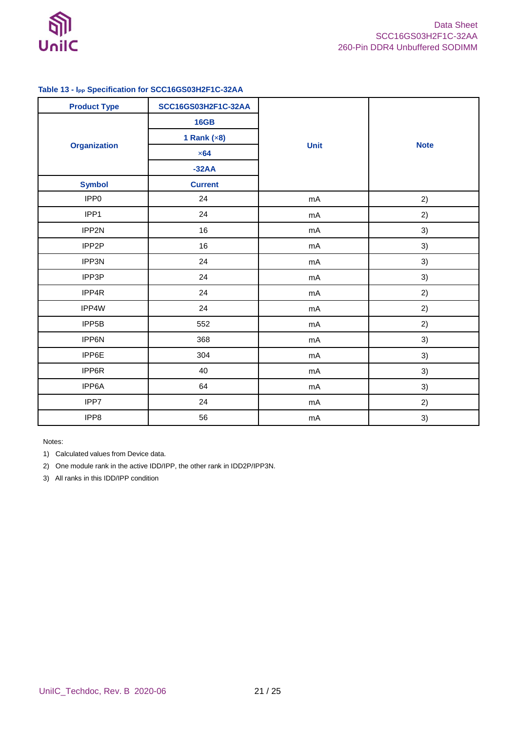

### <span id="page-20-0"></span>**Table 13 - IPP Specification for SCC16GS03H2F1C-32AA**

| <b>Product Type</b> | SCC16GS03H2F1C-32AA |             |             |  |
|---------------------|---------------------|-------------|-------------|--|
|                     | <b>16GB</b>         |             |             |  |
|                     | 1 Rank $(x8)$       |             |             |  |
| <b>Organization</b> | $\times 64$         | <b>Unit</b> | <b>Note</b> |  |
|                     | $-32AA$             |             |             |  |
| <b>Symbol</b>       | <b>Current</b>      |             |             |  |
| IPP <sub>0</sub>    | 24                  | mA          | 2)          |  |
| IPP1                | 24                  | mA          | 2)          |  |
| IPP2N               | 16                  | mA          | 3)          |  |
| IPP2P               | 16                  | mA          | 3)          |  |
| IPP3N               | 24                  | mA          | 3)          |  |
| IPP3P               | 24                  | mA          | 3)          |  |
| IPP4R               | 24                  | mA          | 2)          |  |
| IPP4W               | 24                  | mA          | 2)          |  |
| IPP5B               | 552                 | mA          | 2)          |  |
| IPP6N               | 368                 | mA          | 3)          |  |
| IPP6E               | 304                 | mA          | 3)          |  |
| IPP6R               | 40                  | mA          | 3)          |  |
| IPP6A               | 64                  | mA          | 3)          |  |
| IPP7                | 24                  | mA          | 2)          |  |
| IPP8                | 56                  | mA          | 3)          |  |

Notes:

1) Calculated values from Device data.

2) One module rank in the active IDD/IPP, the other rank in IDD2P/IPP3N.

3) All ranks in this IDD/IPP condition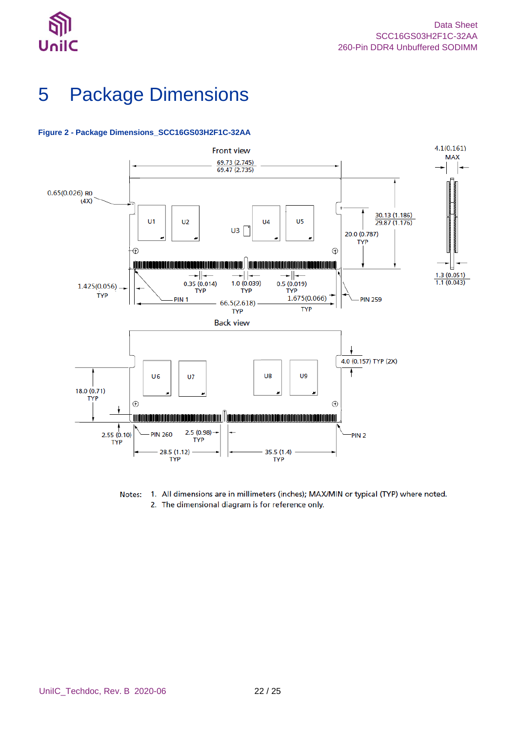



# <span id="page-21-0"></span>5 Package Dimensions



### <span id="page-21-1"></span>**Figure 2 - Package Dimensions\_SCC16GS03H2F1C-32AA**

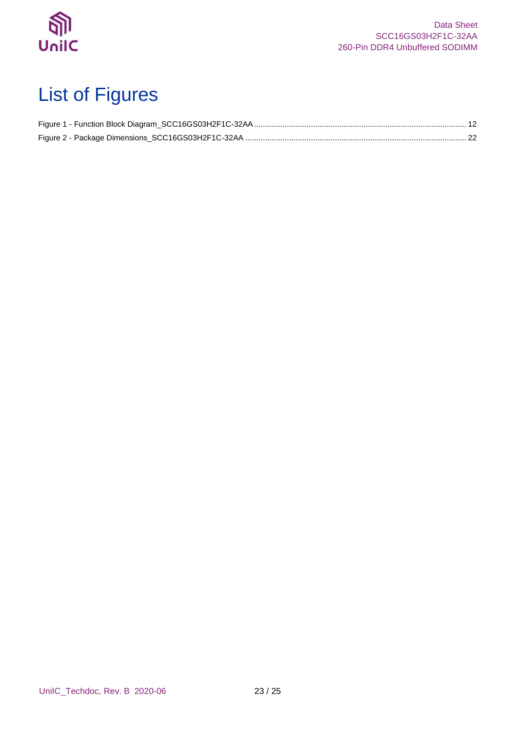

# <span id="page-22-0"></span>List of Figures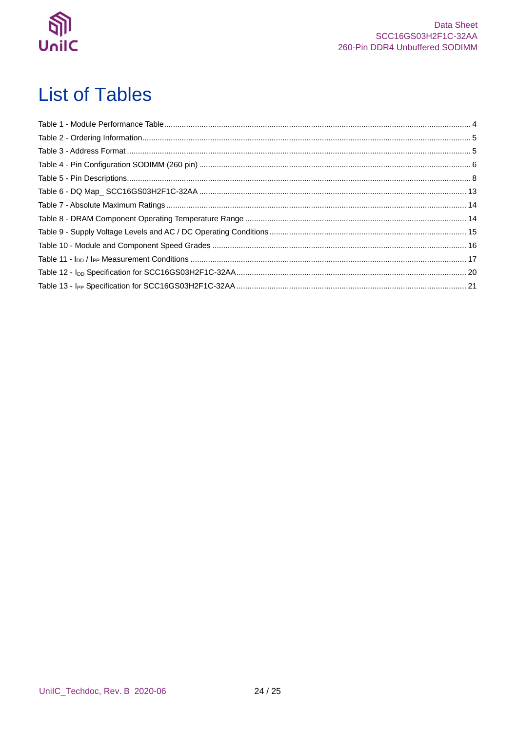

## <span id="page-23-0"></span>**List of Tables**